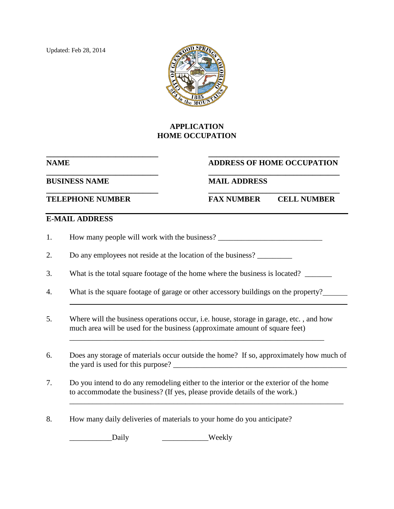Updated: Feb 28, 2014



## **APPLICATION HOME OCCUPATION**

## **\_\_\_\_\_\_\_\_\_\_\_\_\_\_\_\_\_\_\_\_\_\_\_\_\_\_\_\_\_ \_\_\_\_\_\_\_\_\_\_\_\_\_\_\_\_\_\_\_\_\_\_\_\_\_\_\_\_\_\_\_\_\_\_ NAME ADDRESS OF HOME OCCUPATION**

**\_\_\_\_\_\_\_\_\_\_\_\_\_\_\_\_\_\_\_\_\_\_\_\_\_\_\_\_\_ \_\_\_\_\_\_\_\_\_\_\_\_\_\_\_\_\_\_\_\_\_\_\_\_\_\_\_\_\_\_\_\_\_\_ BUSINESS NAME MAIL ADDRESS** 

**\_\_\_\_\_\_\_\_\_\_\_\_\_\_\_\_\_\_\_\_\_\_\_\_\_\_\_\_\_ \_\_\_\_\_\_\_\_\_\_\_\_\_\_\_\_\_\_\_\_\_\_\_\_\_\_\_\_\_\_\_\_\_\_ TELEPHONE NUMBER FAX NUMBER CELL NUMBER**

## **E-MAIL ADDRESS**

1. How many people will work with the business? \_\_\_\_\_\_\_\_\_\_\_\_\_\_\_\_\_\_\_\_\_\_\_\_\_\_\_\_\_\_\_\_

2. Do any employees not reside at the location of the business?

3. What is the total square footage of the home where the business is located? \_\_\_\_\_\_\_

- 4. What is the square footage of garage or other accessory buildings on the property?
- 5. Where will the business operations occur, i.e. house, storage in garage, etc. , and how much area will be used for the business (approximate amount of square feet)
- 6. Does any storage of materials occur outside the home? If so, approximately how much of the yard is used for this purpose?

\_\_\_\_\_\_\_\_\_\_\_\_\_\_\_\_\_\_\_\_\_\_\_\_\_\_\_\_\_\_\_\_\_\_\_\_\_\_\_\_\_\_\_\_\_\_\_\_\_\_\_\_\_\_\_\_\_\_\_\_\_\_\_\_\_\_\_\_\_\_\_

\_\_\_\_\_\_\_\_\_\_\_\_\_\_\_\_\_\_\_\_\_\_\_\_\_\_\_\_\_\_\_\_\_\_\_\_\_\_\_\_\_\_\_\_\_\_\_\_\_\_\_\_\_\_\_\_\_\_\_\_\_\_\_\_\_\_

- 7. Do you intend to do any remodeling either to the interior or the exterior of the home to accommodate the business? (If yes, please provide details of the work.)
- 8. How many daily deliveries of materials to your home do you anticipate?

Daily **Weekly**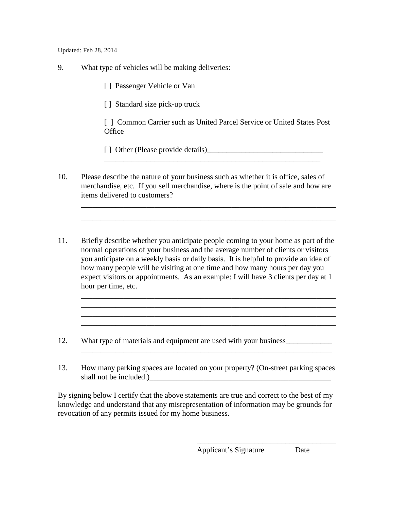Updated: Feb 28, 2014

- 9. What type of vehicles will be making deliveries:
	- [ ] Passenger Vehicle or Van
	- [] Standard size pick-up truck
	- [  $\mid$  ] Common Carrier such as United Parcel Service or United States Post **Office**

[ ] Other (Please provide details)\_\_\_\_\_\_\_\_\_\_\_\_\_\_\_\_\_\_\_\_\_\_\_\_\_\_\_\_\_\_

10. Please describe the nature of your business such as whether it is office, sales of merchandise, etc. If you sell merchandise, where is the point of sale and how are items delivered to customers?

\_\_\_\_\_\_\_\_\_\_\_\_\_\_\_\_\_\_\_\_\_\_\_\_\_\_\_\_\_\_\_\_\_\_\_\_\_\_\_\_\_\_\_\_\_\_\_\_\_\_\_\_\_\_\_\_\_\_\_\_\_\_\_\_\_\_

\_\_\_\_\_\_\_\_\_\_\_\_\_\_\_\_\_\_\_\_\_\_\_\_\_\_\_\_\_\_\_\_\_\_\_\_\_\_\_\_\_\_\_\_\_\_\_\_\_\_\_\_\_\_\_\_\_\_\_\_\_\_\_\_\_\_

\_\_\_\_\_\_\_\_\_\_\_\_\_\_\_\_\_\_\_\_\_\_\_\_\_\_\_\_\_\_\_\_\_\_\_\_\_\_\_\_\_\_\_\_\_\_\_\_\_\_\_\_\_\_\_\_\_\_\_\_\_\_\_\_\_\_

\_\_\_\_\_\_\_\_\_\_\_\_\_\_\_\_\_\_\_\_\_\_\_\_\_\_\_\_\_\_\_\_\_\_\_\_\_\_\_\_\_\_\_\_\_\_\_\_\_\_\_\_\_\_\_\_\_\_\_\_\_\_\_\_\_\_

\_\_\_\_\_\_\_\_\_\_\_\_\_\_\_\_\_\_\_\_\_\_\_\_\_\_\_\_\_\_\_\_\_\_\_\_\_\_\_\_\_\_\_\_\_\_\_\_\_\_\_\_\_\_\_\_\_\_\_\_\_\_\_\_\_

- 11. Briefly describe whether you anticipate people coming to your home as part of the normal operations of your business and the average number of clients or visitors you anticipate on a weekly basis or daily basis. It is helpful to provide an idea of how many people will be visiting at one time and how many hours per day you expect visitors or appointments. As an example: I will have 3 clients per day at 1 hour per time, etc.
- 12. What type of materials and equipment are used with your business\_\_\_\_\_\_\_\_\_\_\_\_
- 13. How many parking spaces are located on your property? (On-street parking spaces shall not be included.)

By signing below I certify that the above statements are true and correct to the best of my knowledge and understand that any misrepresentation of information may be grounds for revocation of any permits issued for my home business.

Applicant's Signature Date

\_\_\_\_\_\_\_\_\_\_\_\_\_\_\_\_\_\_\_\_\_\_\_\_\_\_\_\_\_\_\_\_\_\_\_\_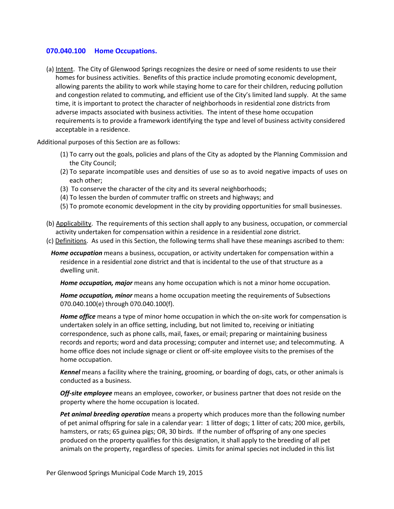## **070.040.100 Home Occupations.**

(a) Intent. The City of Glenwood Springs recognizes the desire or need of some residents to use their homes for business activities. Benefits of this practice include promoting economic development, allowing parents the ability to work while staying home to care for their children, reducing pollution and congestion related to commuting, and efficient use of the City's limited land supply. At the same time, it is important to protect the character of neighborhoods in residential zone districts from adverse impacts associated with business activities. The intent of these home occupation requirements is to provide a framework identifying the type and level of business activity considered acceptable in a residence.

Additional purposes of this Section are as follows:

- (1) To carry out the goals, policies and plans of the City as adopted by the Planning Commission and the City Council;
- (2) To separate incompatible uses and densities of use so as to avoid negative impacts of uses on each other;
- (3) To conserve the character of the city and its several neighborhoods;
- (4) To lessen the burden of commuter traffic on streets and highways; and
- (5) To promote economic development in the city by providing opportunities for small businesses.
- (b) Applicability. The requirements of this section shall apply to any business, occupation, or commercial activity undertaken for compensation within a residence in a residential zone district.
- (c) Definitions. As used in this Section, the following terms shall have these meanings ascribed to them:
	- *Home occupation* means a business, occupation, or activity undertaken for compensation within a residence in a residential zone district and that is incidental to the use of that structure as a dwelling unit.

*Home occupation, major* means any home occupation which is not a minor home occupation.

*Home occupation, minor* means a home occupation meeting the requirements of Subsections 070.040.100(e) through 070.040.100(f).

*Home office* means a type of minor home occupation in which the on-site work for compensation is undertaken solely in an office setting, including, but not limited to, receiving or initiating correspondence, such as phone calls, mail, faxes, or email; preparing or maintaining business records and reports; word and data processing; computer and internet use; and telecommuting. A home office does not include signage or client or off-site employee visits to the premises of the home occupation.

*Kennel* means a facility where the training, grooming, or boarding of dogs, cats, or other animals is conducted as a business.

*Off-site employee* means an employee, coworker, or business partner that does not reside on the property where the home occupation is located.

*Pet animal breeding operation* means a property which produces more than the following number of pet animal offspring for sale in a calendar year: 1 litter of dogs; 1 litter of cats; 200 mice, gerbils, hamsters, or rats; 65 guinea pigs; OR, 30 birds. If the number of offspring of any one species produced on the property qualifies for this designation, it shall apply to the breeding of all pet animals on the property, regardless of species. Limits for animal species not included in this list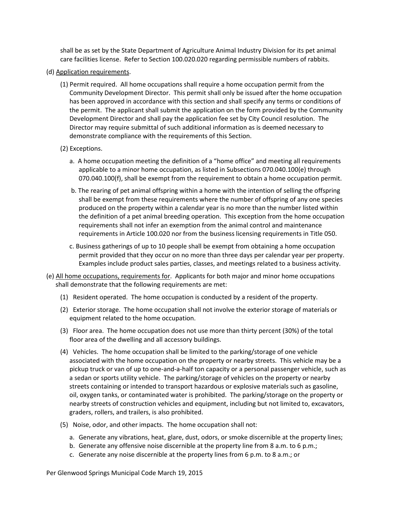shall be as set by the State Department of Agriculture Animal Industry Division for its pet animal care facilities license. Refer to Section 100.020.020 regarding permissible numbers of rabbits.

- (d) Application requirements.
	- (1) Permit required. All home occupations shall require a home occupation permit from the Community Development Director. This permit shall only be issued after the home occupation has been approved in accordance with this section and shall specify any terms or conditions of the permit. The applicant shall submit the application on the form provided by the Community Development Director and shall pay the application fee set by City Council resolution. The Director may require submittal of such additional information as is deemed necessary to demonstrate compliance with the requirements of this Section.
	- (2) Exceptions.
		- a. A home occupation meeting the definition of a "home office" and meeting all requirements applicable to a minor home occupation, as listed in Subsections 070.040.100(e) through 070.040.100(f), shall be exempt from the requirement to obtain a home occupation permit.
		- b. The rearing of pet animal offspring within a home with the intention of selling the offspring shall be exempt from these requirements where the number of offspring of any one species produced on the property within a calendar year is no more than the number listed within the definition of a pet animal breeding operation. This exception from the home occupation requirements shall not infer an exemption from the animal control and maintenance requirements in Article 100.020 nor from the business licensing requirements in Title 050.
		- c. Business gatherings of up to 10 people shall be exempt from obtaining a home occupation permit provided that they occur on no more than three days per calendar year per property. Examples include product sales parties, classes, and meetings related to a business activity.
- (e) All home occupations, requirements for. Applicants for both major and minor home occupations shall demonstrate that the following requirements are met:
	- (1) Resident operated. The home occupation is conducted by a resident of the property.
	- (2) Exterior storage. The home occupation shall not involve the exterior storage of materials or equipment related to the home occupation.
	- (3) Floor area. The home occupation does not use more than thirty percent (30%) of the total floor area of the dwelling and all accessory buildings.
	- (4) Vehicles. The home occupation shall be limited to the parking/storage of one vehicle associated with the home occupation on the property or nearby streets. This vehicle may be a pickup truck or van of up to one-and-a-half ton capacity or a personal passenger vehicle, such as a sedan or sports utility vehicle. The parking/storage of vehicles on the property or nearby streets containing or intended to transport hazardous or explosive materials such as gasoline, oil, oxygen tanks, or contaminated water is prohibited. The parking/storage on the property or nearby streets of construction vehicles and equipment, including but not limited to, excavators, graders, rollers, and trailers, is also prohibited.
	- (5) Noise, odor, and other impacts. The home occupation shall not:
		- a. Generate any vibrations, heat, glare, dust, odors, or smoke discernible at the property lines;
		- b. Generate any offensive noise discernible at the property line from 8 a.m. to 6 p.m.;
		- c. Generate any noise discernible at the property lines from 6 p.m. to 8 a.m.; or

Per Glenwood Springs Municipal Code March 19, 2015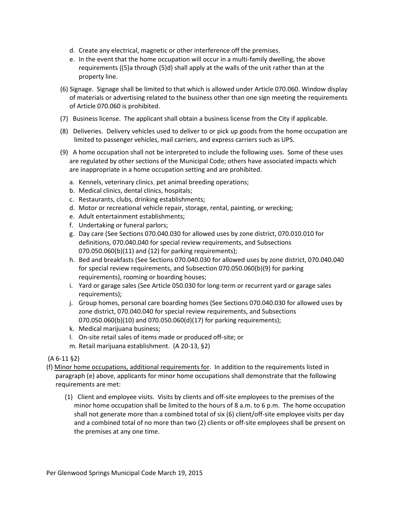- d. Create any electrical, magnetic or other interference off the premises.
- e. In the event that the home occupation will occur in a multi-family dwelling, the above requirements ((5)a through (5)d) shall apply at the walls of the unit rather than at the property line.
- (6) Signage. Signage shall be limited to that which is allowed under Article 070.060. Window display of materials or advertising related to the business other than one sign meeting the requirements of Article 070.060 is prohibited.
- (7) Business license. The applicant shall obtain a business license from the City if applicable.
- (8) Deliveries. Delivery vehicles used to deliver to or pick up goods from the home occupation are limited to passenger vehicles, mail carriers, and express carriers such as UPS.
- (9) A home occupation shall not be interpreted to include the following uses. Some of these uses are regulated by other sections of the Municipal Code; others have associated impacts which are inappropriate in a home occupation setting and are prohibited.
	- a. Kennels, veterinary clinics, pet animal breeding operations;
	- b. Medical clinics, dental clinics, hospitals;
	- c. Restaurants, clubs, drinking establishments;
	- d. Motor or recreational vehicle repair, storage, rental, painting, or wrecking;
	- e. Adult entertainment establishments;
	- f. Undertaking or funeral parlors;
	- g. Day care (See Sections 070.040.030 for allowed uses by zone district, 070.010.010 for definitions, 070.040.040 for special review requirements, and Subsections 070.050.060(b)(11) and (12) for parking requirements);
	- h. Bed and breakfasts (See Sections 070.040.030 for allowed uses by zone district, 070.040.040 for special review requirements, and Subsection 070.050.060(b)(9) for parking requirements), rooming or boarding houses;
	- i. Yard or garage sales (See Article 050.030 for long-term or recurrent yard or garage sales requirements);
	- j. Group homes, personal care boarding homes (See Sections 070.040.030 for allowed uses by zone district, 070.040.040 for special review requirements, and Subsections 070.050.060(b)(10) and 070.050.060(d)(17) for parking requirements);
	- k. Medical marijuana business;
	- l. On-site retail sales of items made or produced off-site; or
	- m. Retail marijuana establishment. (A 20-13, §2)

(A 6-11 §2)

- (f) Minor home occupations, additional requirements for. In addition to the requirements listed in paragraph (e) above, applicants for minor home occupations shall demonstrate that the following requirements are met:
	- (1) Client and employee visits. Visits by clients and off-site employees to the premises of the minor home occupation shall be limited to the hours of 8 a.m. to 6 p.m. The home occupation shall not generate more than a combined total of six (6) client/off-site employee visits per day and a combined total of no more than two (2) clients or off-site employees shall be present on the premises at any one time.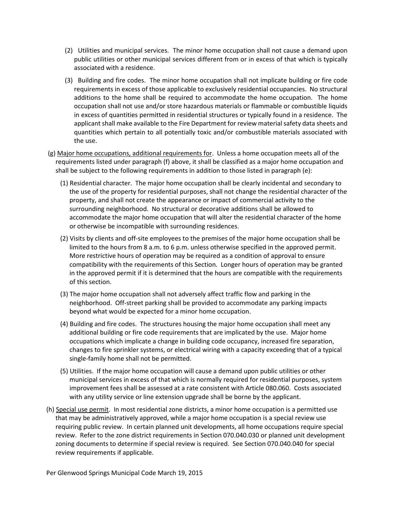- (2) Utilities and municipal services. The minor home occupation shall not cause a demand upon public utilities or other municipal services different from or in excess of that which is typically associated with a residence.
- (3) Building and fire codes. The minor home occupation shall not implicate building or fire code requirements in excess of those applicable to exclusively residential occupancies. No structural additions to the home shall be required to accommodate the home occupation. The home occupation shall not use and/or store hazardous materials or flammable or combustible liquids in excess of quantities permitted in residential structures or typically found in a residence. The applicant shall make available to the Fire Department for review material safety data sheets and quantities which pertain to all potentially toxic and/or combustible materials associated with the use.
- (g) Major home occupations, additional requirements for. Unless a home occupation meets all of the requirements listed under paragraph (f) above, it shall be classified as a major home occupation and shall be subject to the following requirements in addition to those listed in paragraph (e):
	- (1) Residential character. The major home occupation shall be clearly incidental and secondary to the use of the property for residential purposes, shall not change the residential character of the property, and shall not create the appearance or impact of commercial activity to the surrounding neighborhood. No structural or decorative additions shall be allowed to accommodate the major home occupation that will alter the residential character of the home or otherwise be incompatible with surrounding residences.
	- (2) Visits by clients and off-site employees to the premises of the major home occupation shall be limited to the hours from 8 a.m. to 6 p.m. unless otherwise specified in the approved permit. More restrictive hours of operation may be required as a condition of approval to ensure compatibility with the requirements of this Section. Longer hours of operation may be granted in the approved permit if it is determined that the hours are compatible with the requirements of this section.
	- (3) The major home occupation shall not adversely affect traffic flow and parking in the neighborhood. Off-street parking shall be provided to accommodate any parking impacts beyond what would be expected for a minor home occupation.
	- (4) Building and fire codes. The structures housing the major home occupation shall meet any additional building or fire code requirements that are implicated by the use. Major home occupations which implicate a change in building code occupancy, increased fire separation, changes to fire sprinkler systems, or electrical wiring with a capacity exceeding that of a typical single-family home shall not be permitted.
	- (5) Utilities. If the major home occupation will cause a demand upon public utilities or other municipal services in excess of that which is normally required for residential purposes, system improvement fees shall be assessed at a rate consistent with Article 080.060. Costs associated with any utility service or line extension upgrade shall be borne by the applicant.
- (h) Special use permit. In most residential zone districts, a minor home occupation is a permitted use that may be administratively approved, while a major home occupation is a special review use requiring public review. In certain planned unit developments, all home occupations require special review. Refer to the zone district requirements in Section 070.040.030 or planned unit development zoning documents to determine if special review is required. See Section 070.040.040 for special review requirements if applicable.